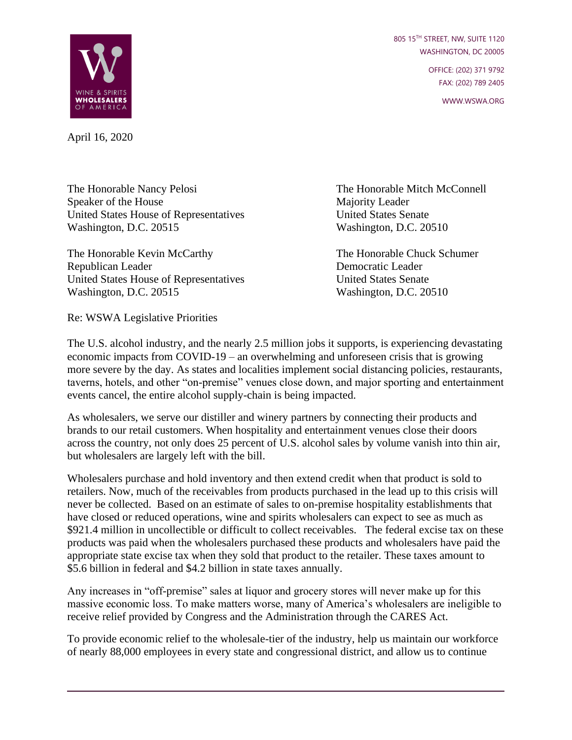805 15TH STREET, NW, SUITE 1120 WASHINGTON, DC 20005

> OFFICE: (202) 371 9792 FAX: (202) 789 2405

> > WWW.WSWA.ORG



April 16, 2020

The Honorable Nancy Pelosi The Honorable Mitch McConnell Speaker of the House Majority Leader United States House of Representatives United States Senate Washington, D.C. 20515 Washington, D.C. 20510

The Honorable Kevin McCarthy The Honorable Chuck Schumer Republican Leader Democratic Leader United States House of Representatives United States Senate Washington, D.C. 20515 Washington, D.C. 20510

Re: WSWA Legislative Priorities

The U.S. alcohol industry, and the nearly 2.5 million jobs it supports, is experiencing devastating economic impacts from COVID-19 – an overwhelming and unforeseen crisis that is growing more severe by the day. As states and localities implement social distancing policies, restaurants, taverns, hotels, and other "on-premise" venues close down, and major sporting and entertainment events cancel, the entire alcohol supply-chain is being impacted.

As wholesalers, we serve our distiller and winery partners by connecting their products and brands to our retail customers. When hospitality and entertainment venues close their doors across the country, not only does 25 percent of U.S. alcohol sales by volume vanish into thin air, but wholesalers are largely left with the bill.

Wholesalers purchase and hold inventory and then extend credit when that product is sold to retailers. Now, much of the receivables from products purchased in the lead up to this crisis will never be collected. Based on an estimate of sales to on-premise hospitality establishments that have closed or reduced operations, wine and spirits wholesalers can expect to see as much as \$921.4 million in uncollectible or difficult to collect receivables. The federal excise tax on these products was paid when the wholesalers purchased these products and wholesalers have paid the appropriate state excise tax when they sold that product to the retailer. These taxes amount to \$5.6 billion in federal and \$4.2 billion in state taxes annually.

Any increases in "off-premise" sales at liquor and grocery stores will never make up for this massive economic loss. To make matters worse, many of America's wholesalers are ineligible to receive relief provided by Congress and the Administration through the CARES Act.

To provide economic relief to the wholesale-tier of the industry, help us maintain our workforce of nearly 88,000 employees in every state and congressional district, and allow us to continue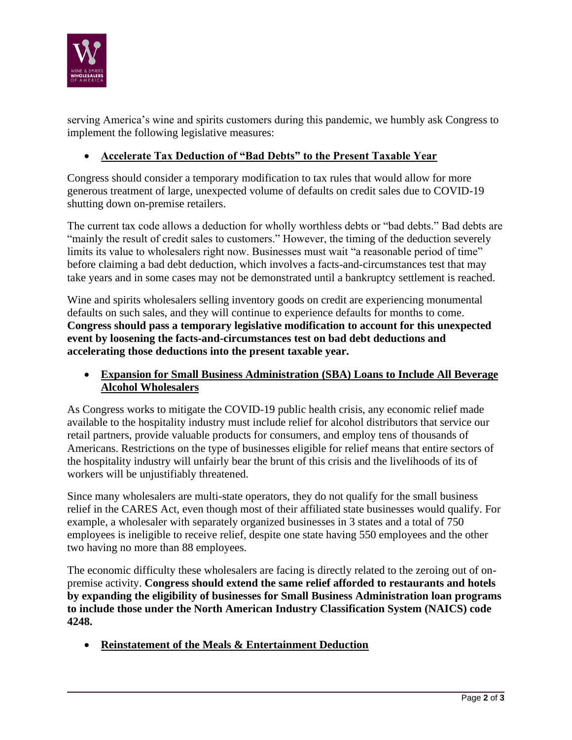

serving America's wine and spirits customers during this pandemic, we humbly ask Congress to implement the following legislative measures:

## • **Accelerate Tax Deduction of "Bad Debts" to the Present Taxable Year**

Congress should consider a temporary modification to tax rules that would allow for more generous treatment of large, unexpected volume of defaults on credit sales due to COVID-19 shutting down on-premise retailers.

The current tax code allows a deduction for wholly worthless debts or "bad debts." Bad debts are "mainly the result of credit sales to customers." However, the timing of the deduction severely limits its value to wholesalers right now. Businesses must wait "a reasonable period of time" before claiming a bad debt deduction, which involves a facts-and-circumstances test that may take years and in some cases may not be demonstrated until a bankruptcy settlement is reached.

Wine and spirits wholesalers selling inventory goods on credit are experiencing monumental defaults on such sales, and they will continue to experience defaults for months to come. **Congress should pass a temporary legislative modification to account for this unexpected event by loosening the facts-and-circumstances test on bad debt deductions and accelerating those deductions into the present taxable year.**

• **Expansion for Small Business Administration (SBA) Loans to Include All Beverage Alcohol Wholesalers**

As Congress works to mitigate the COVID-19 public health crisis, any economic relief made available to the hospitality industry must include relief for alcohol distributors that service our retail partners, provide valuable products for consumers, and employ tens of thousands of Americans. Restrictions on the type of businesses eligible for relief means that entire sectors of the hospitality industry will unfairly bear the brunt of this crisis and the livelihoods of its of workers will be unjustifiably threatened.

Since many wholesalers are multi-state operators, they do not qualify for the small business relief in the CARES Act, even though most of their affiliated state businesses would qualify. For example, a wholesaler with separately organized businesses in 3 states and a total of 750 employees is ineligible to receive relief, despite one state having 550 employees and the other two having no more than 88 employees.

The economic difficulty these wholesalers are facing is directly related to the zeroing out of onpremise activity. **Congress should extend the same relief afforded to restaurants and hotels by expanding the eligibility of businesses for Small Business Administration loan programs to include those under the North American Industry Classification System (NAICS) code 4248.**

• **Reinstatement of the Meals & Entertainment Deduction**